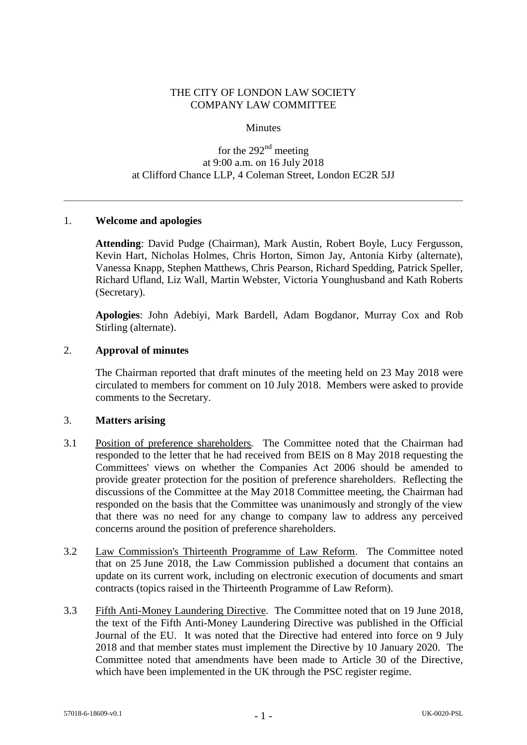## THE CITY OF LONDON LAW SOCIETY COMPANY LAW COMMITTEE

#### **Minutes**

# for the  $292<sup>nd</sup>$  meeting at 9:00 a.m. on 16 July 2018 at Clifford Chance LLP, 4 Coleman Street, London EC2R 5JJ

### 1. **Welcome and apologies**

**Attending**: David Pudge (Chairman), Mark Austin, Robert Boyle, Lucy Fergusson, Kevin Hart, Nicholas Holmes, Chris Horton, Simon Jay, Antonia Kirby (alternate), Vanessa Knapp, Stephen Matthews, Chris Pearson, Richard Spedding, Patrick Speller, Richard Ufland, Liz Wall, Martin Webster, Victoria Younghusband and Kath Roberts (Secretary).

**Apologies**: John Adebiyi, Mark Bardell, Adam Bogdanor, Murray Cox and Rob Stirling (alternate).

#### 2. **Approval of minutes**

The Chairman reported that draft minutes of the meeting held on 23 May 2018 were circulated to members for comment on 10 July 2018. Members were asked to provide comments to the Secretary.

#### 3. **Matters arising**

- 3.1 Position of preference shareholders*.* The Committee noted that the Chairman had responded to the letter that he had received from BEIS on 8 May 2018 requesting the Committees' views on whether the Companies Act 2006 should be amended to provide greater protection for the position of preference shareholders. Reflecting the discussions of the Committee at the May 2018 Committee meeting, the Chairman had responded on the basis that the Committee was unanimously and strongly of the view that there was no need for any change to company law to address any perceived concerns around the position of preference shareholders.
- 3.2 Law Commission's Thirteenth Programme of Law Reform. The Committee noted that on 25 June 2018, the Law Commission published a document that contains an update on its current work, including on electronic execution of documents and smart contracts (topics raised in the Thirteenth Programme of Law Reform).
- 3.3 Fifth Anti-Money Laundering Directive. The Committee noted that on 19 June 2018, the text of the Fifth Anti-Money Laundering Directive was published in the Official Journal of the EU. It was noted that the Directive had entered into force on 9 July 2018 and that member states must implement the Directive by 10 January 2020. The Committee noted that amendments have been made to Article 30 of the Directive, which have been implemented in the UK through the PSC register regime.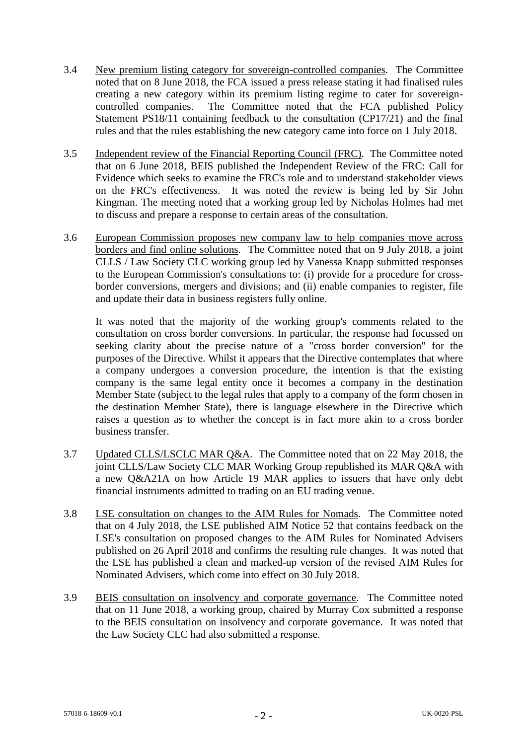- 3.4 New premium listing category for sovereign-controlled companies. The Committee noted that on 8 June 2018, the FCA issued a press release stating it had finalised rules creating a new category within its premium listing regime to cater for sovereigncontrolled companies. The Committee noted that the FCA published Policy Statement PS18/11 containing feedback to the consultation (CP17/21) and the final rules and that the rules establishing the new category came into force on 1 July 2018.
- 3.5 Independent review of the Financial Reporting Council (FRC)*.* The Committee noted that on 6 June 2018, BEIS published the Independent Review of the FRC: Call for Evidence which seeks to examine the FRC's role and to understand stakeholder views on the FRC's effectiveness. It was noted the review is being led by Sir John Kingman. The meeting noted that a working group led by Nicholas Holmes had met to discuss and prepare a response to certain areas of the consultation.
- 3.6 European Commission proposes new company law to help companies move across borders and find online solutions*.* The Committee noted that on 9 July 2018, a joint CLLS / Law Society CLC working group led by Vanessa Knapp submitted responses to the European Commission's consultations to: (i) provide for a procedure for crossborder conversions, mergers and divisions; and (ii) enable companies to register, file and update their data in business registers fully online.

It was noted that the majority of the working group's comments related to the consultation on cross border conversions. In particular, the response had focussed on seeking clarity about the precise nature of a "cross border conversion" for the purposes of the Directive. Whilst it appears that the Directive contemplates that where a company undergoes a conversion procedure, the intention is that the existing company is the same legal entity once it becomes a company in the destination Member State (subject to the legal rules that apply to a company of the form chosen in the destination Member State), there is language elsewhere in the Directive which raises a question as to whether the concept is in fact more akin to a cross border business transfer.

- 3.7 Updated CLLS/LSCLC MAR Q&A*.* The Committee noted that on 22 May 2018, the joint CLLS/Law Society CLC MAR Working Group republished its MAR Q&A with a new Q&A21A on how Article 19 MAR applies to issuers that have only debt financial instruments admitted to trading on an EU trading venue.
- 3.8 LSE consultation on changes to the AIM Rules for Nomads*.* The Committee noted that on 4 July 2018, the LSE published AIM Notice 52 that contains feedback on the LSE's consultation on proposed changes to the AIM Rules for Nominated Advisers published on 26 April 2018 and confirms the resulting rule changes. It was noted that the LSE has published a clean and marked-up version of the revised AIM Rules for Nominated Advisers, which come into effect on 30 July 2018.
- 3.9 BEIS consultation on insolvency and corporate governance*.* The Committee noted that on 11 June 2018, a working group, chaired by Murray Cox submitted a response to the BEIS consultation on insolvency and corporate governance. It was noted that the Law Society CLC had also submitted a response.

 $-2 -$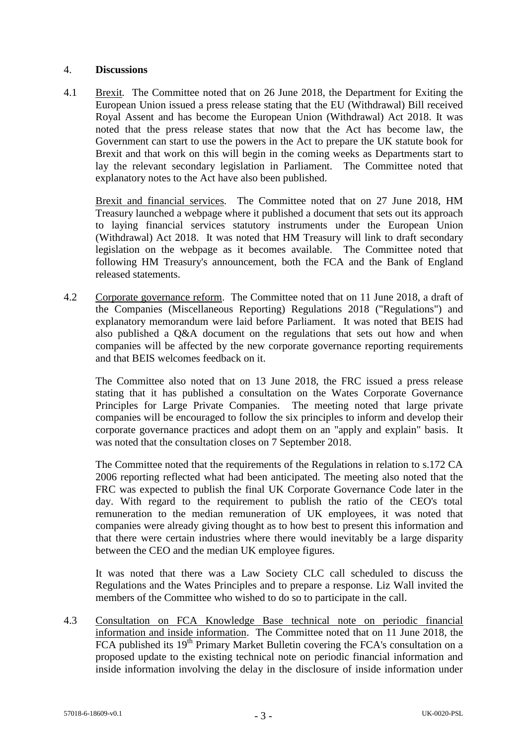### 4. **Discussions**

4.1 Brexit*.* The Committee noted that on 26 June 2018, the Department for Exiting the European Union issued a press release stating that the EU (Withdrawal) Bill received Royal Assent and has become the European Union (Withdrawal) Act 2018. It was noted that the press release states that now that the Act has become law, the Government can start to use the powers in the Act to prepare the UK statute book for Brexit and that work on this will begin in the coming weeks as Departments start to lay the relevant secondary legislation in Parliament. The Committee noted that explanatory notes to the Act have also been published.

Brexit and financial services*.* The Committee noted that on 27 June 2018, HM Treasury launched a webpage where it published a document that sets out its approach to laying financial services statutory instruments under the European Union (Withdrawal) Act 2018. It was noted that HM Treasury will link to draft secondary legislation on the webpage as it becomes available. The Committee noted that following HM Treasury's announcement, both the FCA and the Bank of England released statements.

4.2 Corporate governance reform. The Committee noted that on 11 June 2018, a draft of the Companies (Miscellaneous Reporting) Regulations 2018 ("Regulations") and explanatory memorandum were laid before Parliament. It was noted that BEIS had also published a Q&A document on the regulations that sets out how and when companies will be affected by the new corporate governance reporting requirements and that BEIS welcomes feedback on it.

The Committee also noted that on 13 June 2018, the FRC issued a press release stating that it has published a consultation on the Wates Corporate Governance Principles for Large Private Companies. The meeting noted that large private companies will be encouraged to follow the six principles to inform and develop their corporate governance practices and adopt them on an "apply and explain" basis. It was noted that the consultation closes on 7 September 2018.

The Committee noted that the requirements of the Regulations in relation to s.172 CA 2006 reporting reflected what had been anticipated. The meeting also noted that the FRC was expected to publish the final UK Corporate Governance Code later in the day. With regard to the requirement to publish the ratio of the CEO's total remuneration to the median remuneration of UK employees, it was noted that companies were already giving thought as to how best to present this information and that there were certain industries where there would inevitably be a large disparity between the CEO and the median UK employee figures.

It was noted that there was a Law Society CLC call scheduled to discuss the Regulations and the Wates Principles and to prepare a response. Liz Wall invited the members of the Committee who wished to do so to participate in the call.

4.3 Consultation on FCA Knowledge Base technical note on periodic financial information and inside information. The Committee noted that on 11 June 2018, the FCA published its 19<sup>th</sup> Primary Market Bulletin covering the FCA's consultation on a proposed update to the existing technical note on periodic financial information and inside information involving the delay in the disclosure of inside information under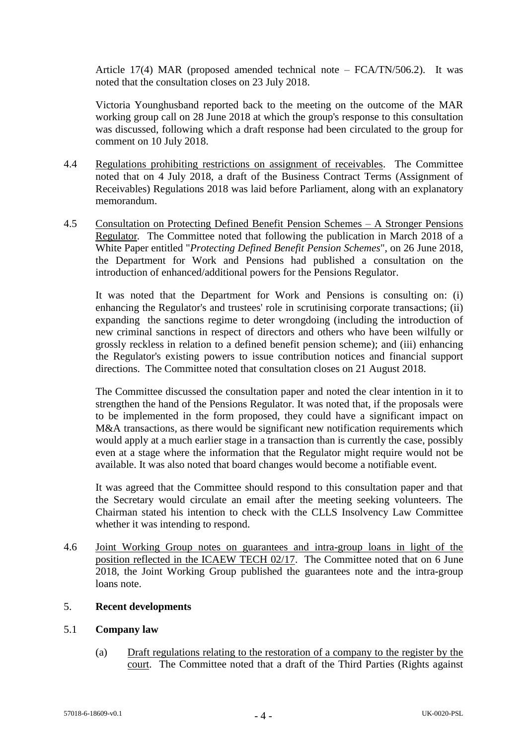Article 17(4) MAR (proposed amended technical note – FCA/TN/506.2). It was noted that the consultation closes on 23 July 2018.

Victoria Younghusband reported back to the meeting on the outcome of the MAR working group call on 28 June 2018 at which the group's response to this consultation was discussed, following which a draft response had been circulated to the group for comment on 10 July 2018.

- 4.4 Regulations prohibiting restrictions on assignment of receivables. The Committee noted that on 4 July 2018, a draft of the Business Contract Terms (Assignment of Receivables) Regulations 2018 was laid before Parliament, along with an explanatory memorandum.
- 4.5 Consultation on Protecting Defined Benefit Pension Schemes A Stronger Pensions Regulator*.* The Committee noted that following the publication in March 2018 of a White Paper entitled "*Protecting Defined Benefit Pension Schemes*", on 26 June 2018, the Department for Work and Pensions had published a consultation on the introduction of enhanced/additional powers for the Pensions Regulator.

It was noted that the Department for Work and Pensions is consulting on: (i) enhancing the Regulator's and trustees' role in scrutinising corporate transactions; (ii) expanding the sanctions regime to deter wrongdoing (including the introduction of new criminal sanctions in respect of directors and others who have been wilfully or grossly reckless in relation to a defined benefit pension scheme); and (iii) enhancing the Regulator's existing powers to issue contribution notices and financial support directions. The Committee noted that consultation closes on 21 August 2018.

The Committee discussed the consultation paper and noted the clear intention in it to strengthen the hand of the Pensions Regulator. It was noted that, if the proposals were to be implemented in the form proposed, they could have a significant impact on M&A transactions, as there would be significant new notification requirements which would apply at a much earlier stage in a transaction than is currently the case, possibly even at a stage where the information that the Regulator might require would not be available. It was also noted that board changes would become a notifiable event.

It was agreed that the Committee should respond to this consultation paper and that the Secretary would circulate an email after the meeting seeking volunteers. The Chairman stated his intention to check with the CLLS Insolvency Law Committee whether it was intending to respond.

4.6 Joint Working Group notes on guarantees and intra-group loans in light of the position reflected in the ICAEW TECH 02/17. The Committee noted that on 6 June 2018, the Joint Working Group published the guarantees note and the intra-group loans note.

# 5. **Recent developments**

### 5.1 **Company law**

(a) Draft regulations relating to the restoration of a company to the register by the court. The Committee noted that a draft of the Third Parties (Rights against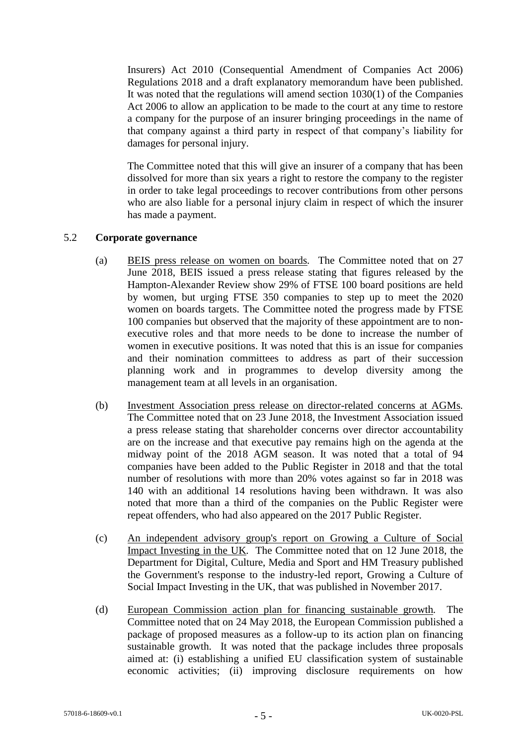Insurers) Act 2010 (Consequential Amendment of Companies Act 2006) Regulations 2018 and a draft explanatory memorandum have been published. It was noted that the regulations will amend section 1030(1) of the Companies Act 2006 to allow an application to be made to the court at any time to restore a company for the purpose of an insurer bringing proceedings in the name of that company against a third party in respect of that company's liability for damages for personal injury.

The Committee noted that this will give an insurer of a company that has been dissolved for more than six years a right to restore the company to the register in order to take legal proceedings to recover contributions from other persons who are also liable for a personal injury claim in respect of which the insurer has made a payment.

# 5.2 **Corporate governance**

- (a) BEIS press release on women on boards*.* The Committee noted that on 27 June 2018, BEIS issued a press release stating that figures released by the Hampton-Alexander Review show 29% of FTSE 100 board positions are held by women, but urging FTSE 350 companies to step up to meet the 2020 women on boards targets. The Committee noted the progress made by FTSE 100 companies but observed that the majority of these appointment are to nonexecutive roles and that more needs to be done to increase the number of women in executive positions. It was noted that this is an issue for companies and their nomination committees to address as part of their succession planning work and in programmes to develop diversity among the management team at all levels in an organisation.
- (b) Investment Association press release on director-related concerns at AGMs*.*  The Committee noted that on 23 June 2018, the Investment Association issued a press release stating that shareholder concerns over director accountability are on the increase and that executive pay remains high on the agenda at the midway point of the 2018 AGM season. It was noted that a total of 94 companies have been added to the Public Register in 2018 and that the total number of resolutions with more than 20% votes against so far in 2018 was 140 with an additional 14 resolutions having been withdrawn. It was also noted that more than a third of the companies on the Public Register were repeat offenders, who had also appeared on the 2017 Public Register.
- (c) An independent advisory group's report on Growing a Culture of Social Impact Investing in the UK*.* The Committee noted that on 12 June 2018, the Department for Digital, Culture, Media and Sport and HM Treasury published the Government's response to the industry-led report, Growing a Culture of Social Impact Investing in the UK, that was published in November 2017.
- (d) European Commission action plan for financing sustainable growth*.* The Committee noted that on 24 May 2018, the European Commission published a package of proposed measures as a follow-up to its action plan on financing sustainable growth. It was noted that the package includes three proposals aimed at: (i) establishing a unified EU classification system of sustainable economic activities; (ii) improving disclosure requirements on how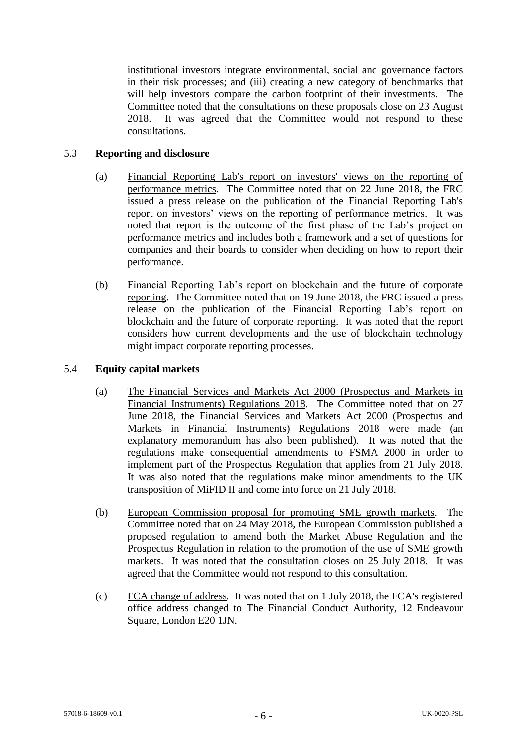institutional investors integrate environmental, social and governance factors in their risk processes; and (iii) creating a new category of benchmarks that will help investors compare the carbon footprint of their investments. The Committee noted that the consultations on these proposals close on 23 August 2018. It was agreed that the Committee would not respond to these consultations.

# 5.3 **Reporting and disclosure**

- (a) Financial Reporting Lab's report on investors' views on the reporting of performance metrics. The Committee noted that on 22 June 2018, the FRC issued a press release on the publication of the Financial Reporting Lab's report on investors' views on the reporting of performance metrics. It was noted that report is the outcome of the first phase of the Lab's project on performance metrics and includes both a framework and a set of questions for companies and their boards to consider when deciding on how to report their performance.
- (b) Financial Reporting Lab's report on blockchain and the future of corporate reporting. The Committee noted that on 19 June 2018, the FRC issued a press release on the publication of the Financial Reporting Lab's report on blockchain and the future of corporate reporting. It was noted that the report considers how current developments and the use of blockchain technology might impact corporate reporting processes.

# 5.4 **Equity capital markets**

- (a) The Financial Services and Markets Act 2000 (Prospectus and Markets in Financial Instruments) Regulations 2018. The Committee noted that on 27 June 2018, the Financial Services and Markets Act 2000 (Prospectus and Markets in Financial Instruments) Regulations 2018 were made (an explanatory memorandum has also been published). It was noted that the regulations make consequential amendments to FSMA 2000 in order to implement part of the Prospectus Regulation that applies from 21 July 2018. It was also noted that the regulations make minor amendments to the UK transposition of MiFID II and come into force on 21 July 2018.
- (b) European Commission proposal for promoting SME growth markets. The Committee noted that on 24 May 2018, the European Commission published a proposed regulation to amend both the Market Abuse Regulation and the Prospectus Regulation in relation to the promotion of the use of SME growth markets. It was noted that the consultation closes on 25 July 2018. It was agreed that the Committee would not respond to this consultation.
- (c) FCA change of address*.* It was noted that on 1 July 2018, the FCA's registered office address changed to The Financial Conduct Authority, 12 Endeavour Square, London E20 1JN.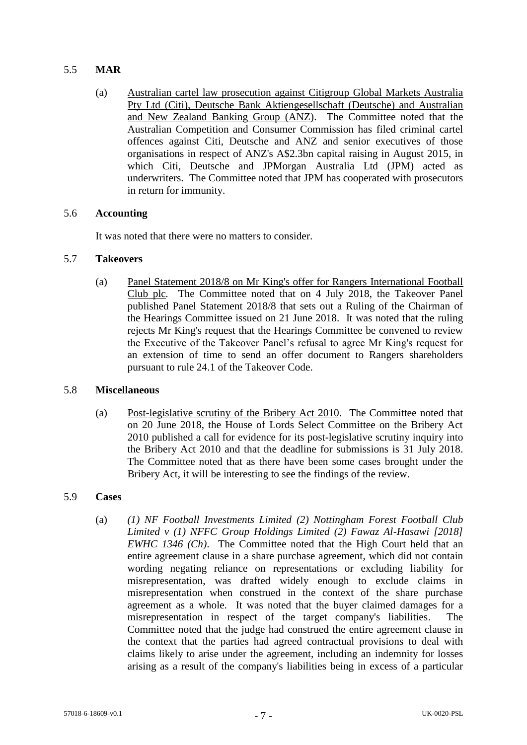# 5.5 **MAR**

(a) Australian cartel law prosecution against Citigroup Global Markets Australia Pty Ltd (Citi), Deutsche Bank Aktiengesellschaft (Deutsche) and Australian and New Zealand Banking Group (ANZ). The Committee noted that the Australian Competition and Consumer Commission has filed criminal cartel offences against Citi, Deutsche and ANZ and senior executives of those organisations in respect of ANZ's A\$2.3bn capital raising in August 2015, in which Citi, Deutsche and JPMorgan Australia Ltd (JPM) acted as underwriters. The Committee noted that JPM has cooperated with prosecutors in return for immunity.

# 5.6 **Accounting**

It was noted that there were no matters to consider.

# 5.7 **Takeovers**

(a) Panel Statement 2018/8 on Mr King's offer for Rangers International Football Club plc*.* The Committee noted that on 4 July 2018, the Takeover Panel published Panel Statement 2018/8 that sets out a Ruling of the Chairman of the Hearings Committee issued on 21 June 2018. It was noted that the ruling rejects Mr King's request that the Hearings Committee be convened to review the Executive of the Takeover Panel's refusal to agree Mr King's request for an extension of time to send an offer document to Rangers shareholders pursuant to rule 24.1 of the Takeover Code.

### 5.8 **Miscellaneous**

(a) Post-legislative scrutiny of the Bribery Act 2010. The Committee noted that on 20 June 2018, the House of Lords Select Committee on the Bribery Act 2010 published a call for evidence for its post-legislative scrutiny inquiry into the Bribery Act 2010 and that the deadline for submissions is 31 July 2018. The Committee noted that as there have been some cases brought under the Bribery Act, it will be interesting to see the findings of the review.

### 5.9 **Cases**

(a) *(1) NF Football Investments Limited (2) Nottingham Forest Football Club Limited v (1) NFFC Group Holdings Limited (2) Fawaz Al-Hasawi [2018] EWHC 1346 (Ch)*. The Committee noted that the High Court held that an entire agreement clause in a share purchase agreement, which did not contain wording negating reliance on representations or excluding liability for misrepresentation, was drafted widely enough to exclude claims in misrepresentation when construed in the context of the share purchase agreement as a whole. It was noted that the buyer claimed damages for a misrepresentation in respect of the target company's liabilities. The Committee noted that the judge had construed the entire agreement clause in the context that the parties had agreed contractual provisions to deal with claims likely to arise under the agreement, including an indemnity for losses arising as a result of the company's liabilities being in excess of a particular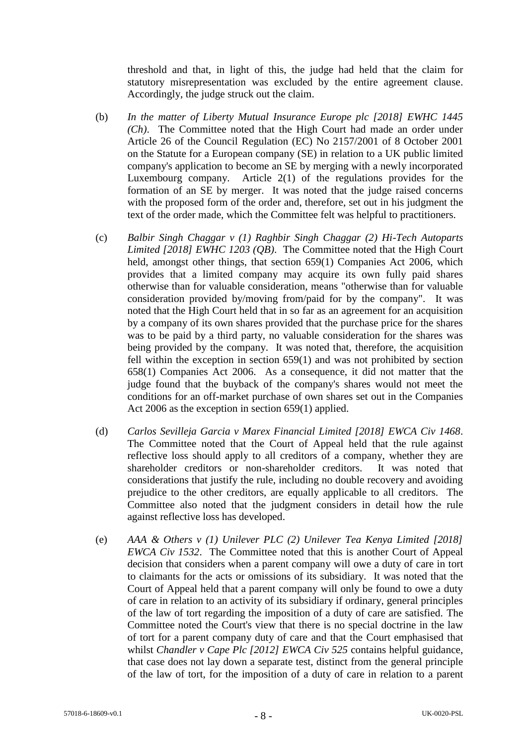threshold and that, in light of this, the judge had held that the claim for statutory misrepresentation was excluded by the entire agreement clause. Accordingly, the judge struck out the claim.

- (b) *In the matter of Liberty Mutual Insurance Europe plc [2018] EWHC 1445 (Ch)*. The Committee noted that the High Court had made an order under Article 26 of the Council Regulation (EC) No 2157/2001 of 8 October 2001 on the Statute for a European company (SE) in relation to a UK public limited company's application to become an SE by merging with a newly incorporated Luxembourg company. Article 2(1) of the regulations provides for the formation of an SE by merger. It was noted that the judge raised concerns with the proposed form of the order and, therefore, set out in his judgment the text of the order made, which the Committee felt was helpful to practitioners.
- (c) *Balbir Singh Chaggar v (1) Raghbir Singh Chaggar (2) Hi-Tech Autoparts Limited [2018] EWHC 1203 (QB)*. The Committee noted that the High Court held, amongst other things, that section 659(1) Companies Act 2006, which provides that a limited company may acquire its own fully paid shares otherwise than for valuable consideration, means "otherwise than for valuable consideration provided by/moving from/paid for by the company". It was noted that the High Court held that in so far as an agreement for an acquisition by a company of its own shares provided that the purchase price for the shares was to be paid by a third party, no valuable consideration for the shares was being provided by the company. It was noted that, therefore, the acquisition fell within the exception in section 659(1) and was not prohibited by section 658(1) Companies Act 2006. As a consequence, it did not matter that the judge found that the buyback of the company's shares would not meet the conditions for an off-market purchase of own shares set out in the Companies Act 2006 as the exception in section 659(1) applied.
- (d) *Carlos Sevilleja Garcia v Marex Financial Limited [2018] EWCA Civ 1468*. The Committee noted that the Court of Appeal held that the rule against reflective loss should apply to all creditors of a company, whether they are shareholder creditors or non-shareholder creditors. It was noted that considerations that justify the rule, including no double recovery and avoiding prejudice to the other creditors, are equally applicable to all creditors. The Committee also noted that the judgment considers in detail how the rule against reflective loss has developed.
- (e) *AAA & Others v (1) Unilever PLC (2) Unilever Tea Kenya Limited [2018] EWCA Civ 1532*. The Committee noted that this is another Court of Appeal decision that considers when a parent company will owe a duty of care in tort to claimants for the acts or omissions of its subsidiary. It was noted that the Court of Appeal held that a parent company will only be found to owe a duty of care in relation to an activity of its subsidiary if ordinary, general principles of the law of tort regarding the imposition of a duty of care are satisfied. The Committee noted the Court's view that there is no special doctrine in the law of tort for a parent company duty of care and that the Court emphasised that whilst *Chandler v Cape Plc [2012] EWCA Civ 525* contains helpful guidance, that case does not lay down a separate test, distinct from the general principle of the law of tort, for the imposition of a duty of care in relation to a parent